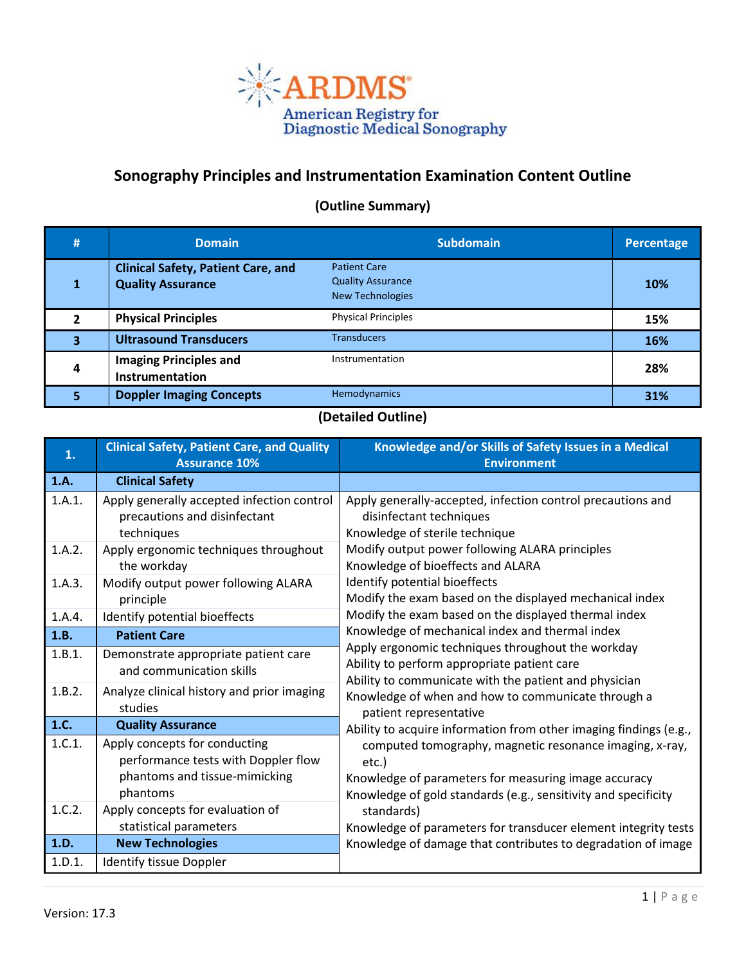

## **Sonography Principles and Instrumentation Examination Content Outline**

## **(Outline Summary)**

| #                       | <b>Domain</b>                                                         | <b>Subdomain</b>                                                           | Percentage |
|-------------------------|-----------------------------------------------------------------------|----------------------------------------------------------------------------|------------|
| 1                       | <b>Clinical Safety, Patient Care, and</b><br><b>Quality Assurance</b> | <b>Patient Care</b><br><b>Quality Assurance</b><br><b>New Technologies</b> | 10%        |
| $\overline{2}$          | <b>Physical Principles</b>                                            | <b>Physical Principles</b>                                                 | 15%        |
| $\overline{\mathbf{3}}$ | <b>Ultrasound Transducers</b>                                         | <b>Transducers</b>                                                         | 16%        |
| 4                       | <b>Imaging Principles and</b><br>Instrumentation                      | Instrumentation                                                            | 28%        |
| 5                       | <b>Doppler Imaging Concepts</b>                                       | Hemodynamics                                                               | 31%        |

## **(Detailed Outline)**

| 1.     | <b>Clinical Safety, Patient Care, and Quality</b><br><b>Assurance 10%</b>                                         | Knowledge and/or Skills of Safety Issues in a Medical<br><b>Environment</b>                                                                                                                |  |
|--------|-------------------------------------------------------------------------------------------------------------------|--------------------------------------------------------------------------------------------------------------------------------------------------------------------------------------------|--|
| 1.A.   | <b>Clinical Safety</b>                                                                                            |                                                                                                                                                                                            |  |
| 1.A.1. | Apply generally accepted infection control<br>precautions and disinfectant<br>techniques                          | Apply generally-accepted, infection control precautions and<br>disinfectant techniques<br>Knowledge of sterile technique                                                                   |  |
| 1.A.2. | Apply ergonomic techniques throughout<br>the workday                                                              | Modify output power following ALARA principles<br>Knowledge of bioeffects and ALARA                                                                                                        |  |
| 1.A.3. | Modify output power following ALARA<br>principle                                                                  | Identify potential bioeffects<br>Modify the exam based on the displayed mechanical index                                                                                                   |  |
| 1.A.4. | Identify potential bioeffects                                                                                     | Modify the exam based on the displayed thermal index                                                                                                                                       |  |
| 1.B.   | <b>Patient Care</b>                                                                                               | Knowledge of mechanical index and thermal index                                                                                                                                            |  |
| 1.B.1. | Demonstrate appropriate patient care<br>and communication skills                                                  | Apply ergonomic techniques throughout the workday<br>Ability to perform appropriate patient care                                                                                           |  |
| 1.B.2. | Analyze clinical history and prior imaging<br>studies                                                             | Ability to communicate with the patient and physician<br>Knowledge of when and how to communicate through a<br>patient representative                                                      |  |
| 1.C.   | <b>Quality Assurance</b>                                                                                          | Ability to acquire information from other imaging findings (e.g.,                                                                                                                          |  |
| 1.C.1. | Apply concepts for conducting<br>performance tests with Doppler flow<br>phantoms and tissue-mimicking<br>phantoms | computed tomography, magnetic resonance imaging, x-ray,<br>etc.)<br>Knowledge of parameters for measuring image accuracy<br>Knowledge of gold standards (e.g., sensitivity and specificity |  |
| 1.C.2. | Apply concepts for evaluation of                                                                                  | standards)                                                                                                                                                                                 |  |
| 1.D.   | statistical parameters<br><b>New Technologies</b>                                                                 | Knowledge of parameters for transducer element integrity tests<br>Knowledge of damage that contributes to degradation of image                                                             |  |
| 1.D.1. | Identify tissue Doppler                                                                                           |                                                                                                                                                                                            |  |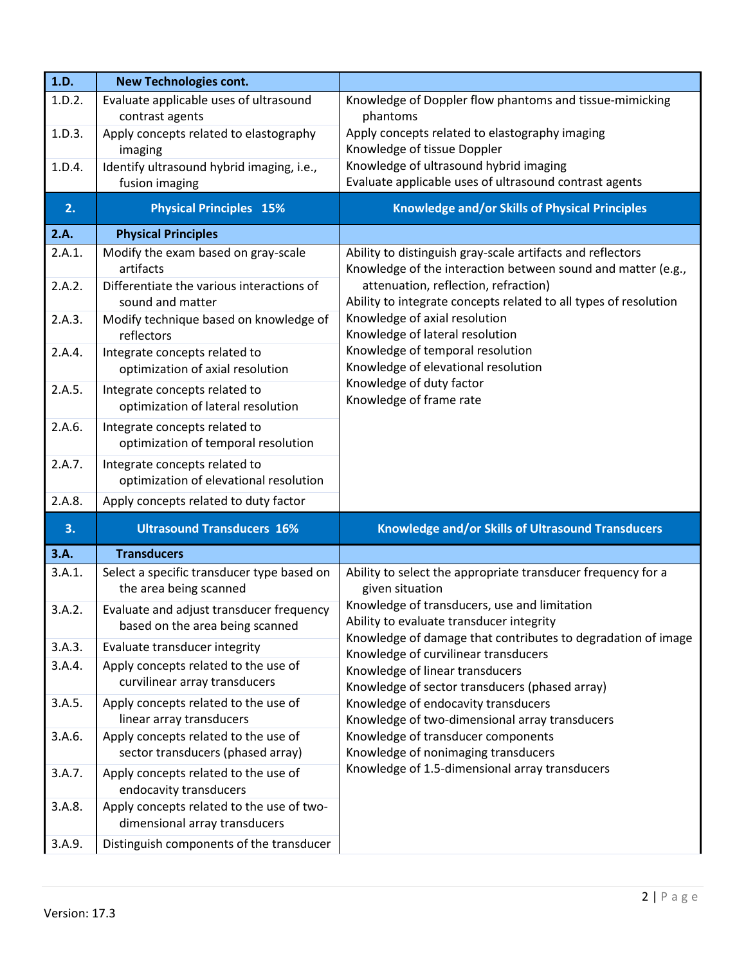| 1.D.   | <b>New Technologies cont.</b>                                               |                                                                                                                            |  |
|--------|-----------------------------------------------------------------------------|----------------------------------------------------------------------------------------------------------------------------|--|
| 1.D.2. | Evaluate applicable uses of ultrasound                                      | Knowledge of Doppler flow phantoms and tissue-mimicking                                                                    |  |
|        | contrast agents                                                             | phantoms                                                                                                                   |  |
| 1.D.3. | Apply concepts related to elastography                                      | Apply concepts related to elastography imaging                                                                             |  |
| 1.D.4. | imaging<br>Identify ultrasound hybrid imaging, i.e.,                        | Knowledge of tissue Doppler<br>Knowledge of ultrasound hybrid imaging                                                      |  |
|        | fusion imaging                                                              | Evaluate applicable uses of ultrasound contrast agents                                                                     |  |
| 2.     | <b>Physical Principles 15%</b>                                              | Knowledge and/or Skills of Physical Principles                                                                             |  |
|        |                                                                             |                                                                                                                            |  |
| 2.A.   | <b>Physical Principles</b>                                                  |                                                                                                                            |  |
| 2.A.1. | Modify the exam based on gray-scale<br>artifacts                            | Ability to distinguish gray-scale artifacts and reflectors<br>Knowledge of the interaction between sound and matter (e.g., |  |
| 2.A.2. | Differentiate the various interactions of<br>sound and matter               | attenuation, reflection, refraction)<br>Ability to integrate concepts related to all types of resolution                   |  |
| 2.A.3. | Modify technique based on knowledge of<br>reflectors                        | Knowledge of axial resolution<br>Knowledge of lateral resolution                                                           |  |
| 2.A.4. | Integrate concepts related to<br>optimization of axial resolution           | Knowledge of temporal resolution<br>Knowledge of elevational resolution                                                    |  |
| 2.A.5. | Integrate concepts related to<br>optimization of lateral resolution         | Knowledge of duty factor<br>Knowledge of frame rate                                                                        |  |
| 2.A.6. | Integrate concepts related to<br>optimization of temporal resolution        |                                                                                                                            |  |
| 2.A.7. | Integrate concepts related to<br>optimization of elevational resolution     |                                                                                                                            |  |
| 2.A.8. | Apply concepts related to duty factor                                       |                                                                                                                            |  |
| 3.     | <b>Ultrasound Transducers 16%</b>                                           | Knowledge and/or Skills of Ultrasound Transducers                                                                          |  |
| 3.A.   | <b>Transducers</b>                                                          |                                                                                                                            |  |
| 3.A.1. | Select a specific transducer type based on<br>the area being scanned        | Ability to select the appropriate transducer frequency for a<br>given situation                                            |  |
| 3.A.2. | Evaluate and adjust transducer frequency<br>based on the area being scanned | Knowledge of transducers, use and limitation<br>Ability to evaluate transducer integrity                                   |  |
| 3.A.3. | Evaluate transducer integrity                                               | Knowledge of damage that contributes to degradation of image<br>Knowledge of curvilinear transducers                       |  |
| 3.A.4. | Apply concepts related to the use of<br>curvilinear array transducers       | Knowledge of linear transducers<br>Knowledge of sector transducers (phased array)                                          |  |
| 3.A.5. | Apply concepts related to the use of<br>linear array transducers            | Knowledge of endocavity transducers<br>Knowledge of two-dimensional array transducers                                      |  |
| 3.A.6. | Apply concepts related to the use of<br>sector transducers (phased array)   | Knowledge of transducer components<br>Knowledge of nonimaging transducers                                                  |  |
| 3.A.7. | Apply concepts related to the use of<br>endocavity transducers              | Knowledge of 1.5-dimensional array transducers                                                                             |  |
| 3.A.8. | Apply concepts related to the use of two-<br>dimensional array transducers  |                                                                                                                            |  |
| 3.A.9. | Distinguish components of the transducer                                    |                                                                                                                            |  |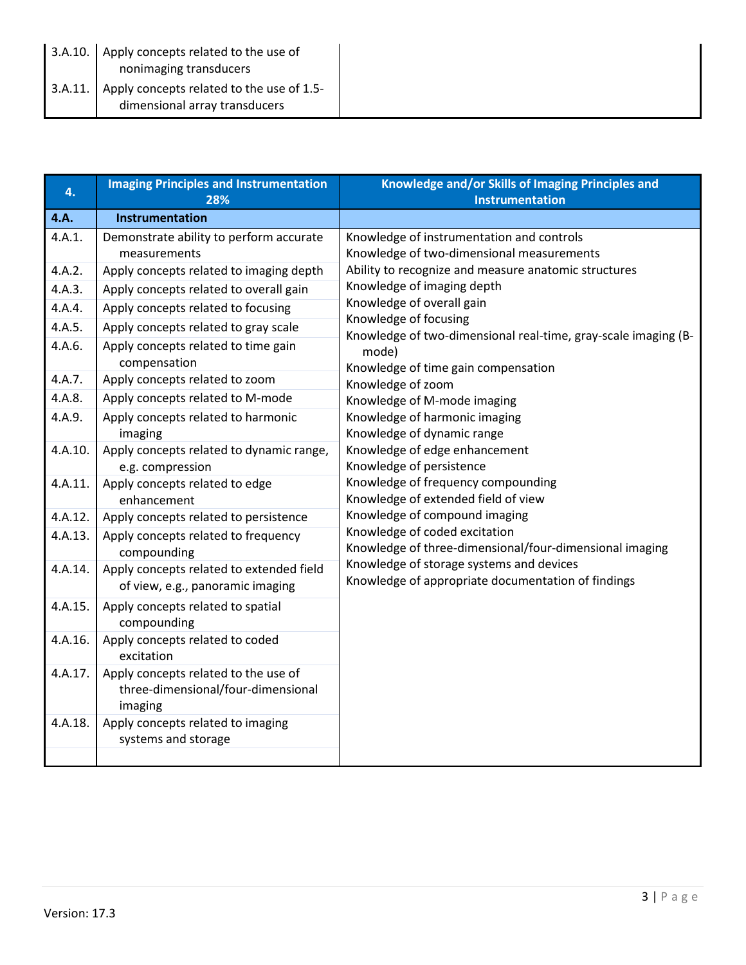| 3.A.10. | Apply concepts related to the use of<br>nonimaging transducers             |
|---------|----------------------------------------------------------------------------|
| 3.A.11. | Apply concepts related to the use of 1.5-<br>dimensional array transducers |

| 4.      | <b>Imaging Principles and Instrumentation</b><br>28%                                  | Knowledge and/or Skills of Imaging Principles and<br><b>Instrumentation</b>                                                                                                                                                                                                                                                                                                                                                          |  |
|---------|---------------------------------------------------------------------------------------|--------------------------------------------------------------------------------------------------------------------------------------------------------------------------------------------------------------------------------------------------------------------------------------------------------------------------------------------------------------------------------------------------------------------------------------|--|
| 4.A.    | Instrumentation                                                                       |                                                                                                                                                                                                                                                                                                                                                                                                                                      |  |
| 4.A.1.  | Demonstrate ability to perform accurate<br>measurements                               | Knowledge of instrumentation and controls<br>Knowledge of two-dimensional measurements                                                                                                                                                                                                                                                                                                                                               |  |
| 4.A.2.  | Apply concepts related to imaging depth                                               | Ability to recognize and measure anatomic structures                                                                                                                                                                                                                                                                                                                                                                                 |  |
| 4.A.3.  | Apply concepts related to overall gain                                                | Knowledge of imaging depth                                                                                                                                                                                                                                                                                                                                                                                                           |  |
| 4.A.4.  | Apply concepts related to focusing                                                    | Knowledge of overall gain                                                                                                                                                                                                                                                                                                                                                                                                            |  |
| 4.A.5.  | Apply concepts related to gray scale                                                  | Knowledge of focusing                                                                                                                                                                                                                                                                                                                                                                                                                |  |
| 4.A.6.  | Apply concepts related to time gain<br>compensation                                   | Knowledge of two-dimensional real-time, gray-scale imaging (B-<br>mode)<br>Knowledge of time gain compensation                                                                                                                                                                                                                                                                                                                       |  |
| 4.A.7.  | Apply concepts related to zoom                                                        | Knowledge of zoom                                                                                                                                                                                                                                                                                                                                                                                                                    |  |
| 4.A.8.  | Apply concepts related to M-mode                                                      | Knowledge of M-mode imaging                                                                                                                                                                                                                                                                                                                                                                                                          |  |
| 4.A.9.  | Apply concepts related to harmonic<br>imaging                                         | Knowledge of harmonic imaging<br>Knowledge of dynamic range<br>Knowledge of edge enhancement<br>Knowledge of persistence<br>Knowledge of frequency compounding<br>Knowledge of extended field of view<br>Knowledge of compound imaging<br>Knowledge of coded excitation<br>Knowledge of three-dimensional/four-dimensional imaging<br>Knowledge of storage systems and devices<br>Knowledge of appropriate documentation of findings |  |
| 4.A.10. | Apply concepts related to dynamic range,<br>e.g. compression                          |                                                                                                                                                                                                                                                                                                                                                                                                                                      |  |
| 4.A.11. | Apply concepts related to edge<br>enhancement                                         |                                                                                                                                                                                                                                                                                                                                                                                                                                      |  |
| 4.A.12. | Apply concepts related to persistence                                                 |                                                                                                                                                                                                                                                                                                                                                                                                                                      |  |
| 4.A.13. | Apply concepts related to frequency<br>compounding                                    |                                                                                                                                                                                                                                                                                                                                                                                                                                      |  |
| 4.A.14. | Apply concepts related to extended field<br>of view, e.g., panoramic imaging          |                                                                                                                                                                                                                                                                                                                                                                                                                                      |  |
| 4.A.15. | Apply concepts related to spatial<br>compounding                                      |                                                                                                                                                                                                                                                                                                                                                                                                                                      |  |
| 4.A.16. | Apply concepts related to coded<br>excitation                                         |                                                                                                                                                                                                                                                                                                                                                                                                                                      |  |
| 4.A.17. | Apply concepts related to the use of<br>three-dimensional/four-dimensional<br>imaging |                                                                                                                                                                                                                                                                                                                                                                                                                                      |  |
| 4.A.18. | Apply concepts related to imaging<br>systems and storage                              |                                                                                                                                                                                                                                                                                                                                                                                                                                      |  |